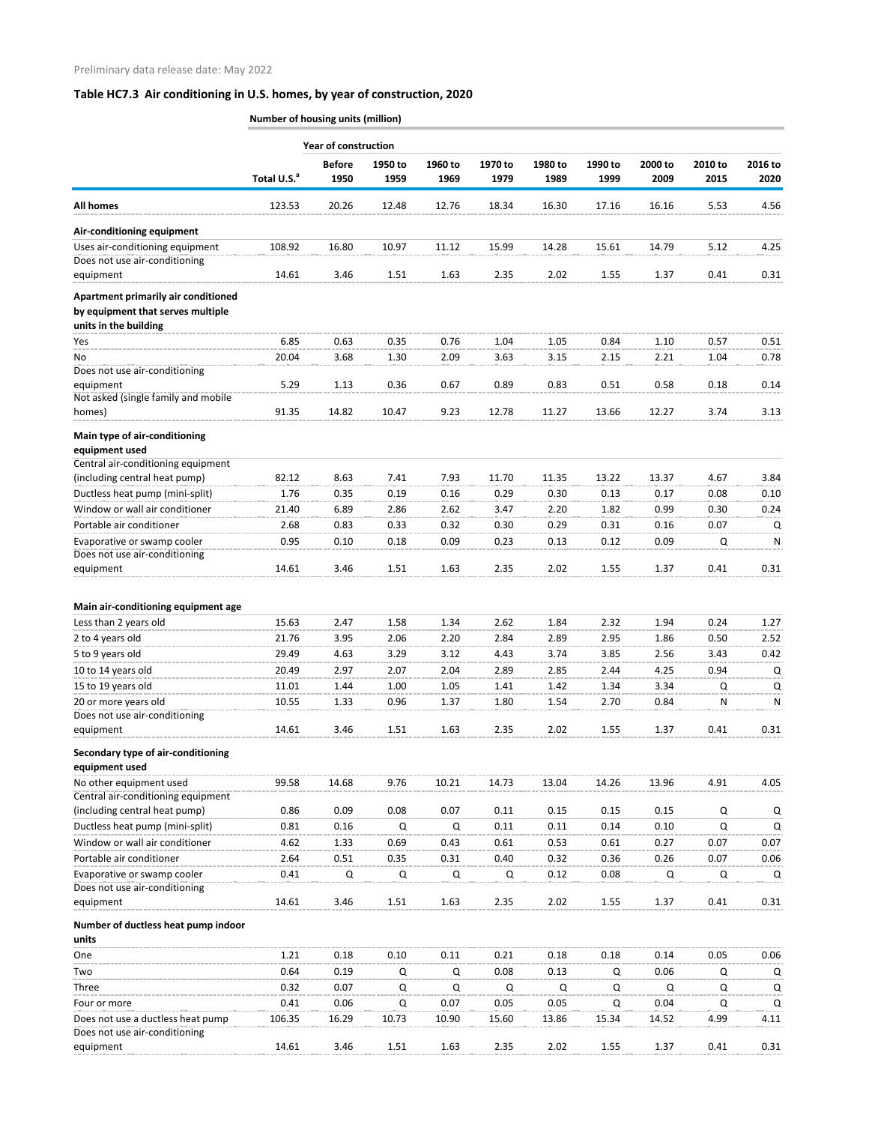|                                                                          | <b>Number of housing units (million)</b> |                             |                 |                 |                 |                 |                 |                 |                 |                 |  |  |
|--------------------------------------------------------------------------|------------------------------------------|-----------------------------|-----------------|-----------------|-----------------|-----------------|-----------------|-----------------|-----------------|-----------------|--|--|
|                                                                          |                                          | <b>Year of construction</b> |                 |                 |                 |                 |                 |                 |                 |                 |  |  |
|                                                                          | Total U.S. <sup>a</sup>                  | <b>Before</b><br>1950       | 1950 to<br>1959 | 1960 to<br>1969 | 1970 to<br>1979 | 1980 to<br>1989 | 1990 to<br>1999 | 2000 to<br>2009 | 2010 to<br>2015 | 2016 to<br>2020 |  |  |
| <b>All homes</b>                                                         | 123.53                                   | 20.26                       | 12.48           | 12.76           | 18.34           | 16.30           | 17.16           | 16.16           | 5.53            | 4.56            |  |  |
| Air-conditioning equipment                                               |                                          |                             |                 |                 |                 |                 |                 |                 |                 |                 |  |  |
| Uses air-conditioning equipment                                          | 108.92                                   | 16.80                       | 10.97           | 11.12           | 15.99           | 14.28           | 15.61           | 14.79           | 5.12            | 4.25            |  |  |
| Does not use air-conditioning                                            |                                          |                             |                 |                 |                 |                 |                 |                 |                 |                 |  |  |
| equipment                                                                | 14.61                                    | 3.46                        | 1.51            | 1.63            | 2.35            | 2.02            | 1.55            | 1.37            | 0.41            | 0.31            |  |  |
| Apartment primarily air conditioned<br>by equipment that serves multiple |                                          |                             |                 |                 |                 |                 |                 |                 |                 |                 |  |  |
| units in the building                                                    |                                          |                             |                 |                 |                 |                 |                 |                 |                 |                 |  |  |
| Yes                                                                      | 6.85                                     | 0.63                        | 0.35            | 0.76            | 1.04            | 1.05            | 0.84            | 1.10            | 0.57            | 0.51            |  |  |
| No                                                                       | 20.04                                    | 3.68                        | 1.30            | 2.09            | 3.63            | 3.15            | 2.15            | 2.21            | 1.04            | 0.78            |  |  |
| Does not use air-conditioning                                            |                                          |                             |                 |                 |                 |                 |                 |                 |                 |                 |  |  |
| equipment<br>Not asked (single family and mobile                         | 5.29                                     | 1.13                        | 0.36            | 0.67            | 0.89            | 0.83            | 0.51            | 0.58            | 0.18            | 0.14            |  |  |
| homes)                                                                   | 91.35                                    | 14.82                       | 10.47           | 9.23            | 12.78           | 11.27           | 13.66           | 12.27           | 3.74            | 3.13            |  |  |
|                                                                          |                                          |                             |                 |                 |                 |                 |                 |                 |                 |                 |  |  |
| Main type of air-conditioning<br>equipment used                          |                                          |                             |                 |                 |                 |                 |                 |                 |                 |                 |  |  |
| Central air-conditioning equipment                                       |                                          |                             |                 |                 |                 |                 |                 |                 |                 |                 |  |  |
| (including central heat pump)                                            | 82.12                                    | 8.63                        | 7.41            | 7.93            | 11.70           | 11.35           | 13.22           | 13.37           | 4.67            | 3.84            |  |  |
| Ductless heat pump (mini-split)                                          | 1.76                                     | 0.35                        | 0.19            | 0.16            | 0.29            | 0.30            | 0.13            | 0.17            | 0.08            | 0.10            |  |  |
| Window or wall air conditioner                                           | 21.40                                    | 6.89                        | 2.86            | 2.62            | 3.47            | 2.20            | 1.82            | 0.99            | 0.30            | 0.24            |  |  |
| Portable air conditioner                                                 | 2.68                                     | 0.83                        | 0.33            | 0.32            | 0.30            | 0.29            | 0.31            | 0.16            | 0.07            | Q               |  |  |
| Evaporative or swamp cooler                                              | 0.95                                     | 0.10                        | 0.18            | 0.09            | 0.23            | 0.13            | 0.12            | 0.09            | Q               | N               |  |  |
| Does not use air-conditioning<br>equipment                               | 14.61                                    | 3.46                        | 1.51            | 1.63            | 2.35            | 2.02            | 1.55            | 1.37            | 0.41            | 0.31            |  |  |
|                                                                          |                                          |                             |                 |                 |                 |                 |                 |                 |                 |                 |  |  |
| Main air-conditioning equipment age                                      |                                          |                             |                 |                 |                 |                 |                 |                 |                 |                 |  |  |
| Less than 2 years old                                                    | 15.63                                    | 2.47                        | 1.58            | 1.34            | 2.62            | 1.84            | 2.32            | 1.94            | 0.24            | 1.27            |  |  |
| 2 to 4 years old                                                         | 21.76                                    | 3.95                        | 2.06            | 2.20            | 2.84            | 2.89            | 2.95            | 1.86            | 0.50            | 2.52            |  |  |
| 5 to 9 years old                                                         | 29.49                                    | 4.63                        | 3.29            | 3.12            | 4.43            | 3.74            | 3.85            | 2.56            | 3.43            | 0.42            |  |  |
| 10 to 14 years old                                                       | 20.49                                    | 2.97                        | 2.07            | 2.04            | 2.89            | 2.85            | 2.44            | 4.25            | 0.94            | Q               |  |  |
| 15 to 19 years old                                                       | 11.01                                    | 1.44                        | 1.00            | 1.05            | 1.41            | 1.42            | 1.34            | 3.34            | Q               | Q               |  |  |
| 20 or more years old<br>Does not use air-conditioning                    | 10.55                                    | 1.33                        | 0.96            | 1.37            | 1.80            | 1.54            | 2.70            | 0.84            | ${\sf N}$       | N               |  |  |
| equipment                                                                | 14.61                                    | 3.46                        | 1.51            | 1.63            | 2.35            | 2.02            | 1.55            | 1.37            | 0.41            | 0.31            |  |  |
| Secondary type of air-conditioning<br>equipment used                     |                                          |                             |                 |                 |                 |                 |                 |                 |                 |                 |  |  |
| No other equipment used                                                  | 99.58                                    | 14.68                       | 9.76            | 10.21           | 14.73           | 13.04           | 14.26           | 13.96           | 4.91            | 4.05            |  |  |
| Central air-conditioning equipment                                       |                                          |                             |                 |                 |                 |                 |                 |                 |                 |                 |  |  |
| (including central heat pump)                                            | 0.86                                     | 0.09                        | 0.08            | 0.07            | 0.11            | 0.15            | 0.15            | 0.15            | Q               | Q               |  |  |
| Ductless heat pump (mini-split)                                          | 0.81                                     | 0.16                        | Q               | $\Omega$        | 0.11            | 0.11            | 0.14            | 0.10            | Q               | Q               |  |  |
| Window or wall air conditioner                                           | 4.62                                     | 1.33                        | 0.69            | 0.43            | 0.61            | 0.53            | 0.61            | 0.27            | 0.07            | 0.07            |  |  |
| Portable air conditioner                                                 | 2.64                                     | 0.51                        | 0.35            | 0.31            | 0.40            | 0.32            | 0.36            | 0.26            | 0.07            | 0.06            |  |  |
| Evaporative or swamp cooler<br>Does not use air-conditioning             | 0.41                                     | Q                           | Q               | Q               | Q               | 0.12            | 0.08            | Q               | Q               | Q               |  |  |
| equipment                                                                | 14.61                                    | 3.46                        | 1.51            | 1.63            | 2.35            | 2.02            | 1.55            | 1.37            | 0.41            | 0.31            |  |  |
| Number of ductless heat pump indoor                                      |                                          |                             |                 |                 |                 |                 |                 |                 |                 |                 |  |  |
| units                                                                    |                                          |                             |                 |                 |                 |                 |                 |                 |                 |                 |  |  |
| One                                                                      | 1.21                                     | 0.18                        | 0.10            | 0.11            | 0.21            | 0.18            | 0.18            | 0.14            | 0.05            | 0.06            |  |  |
| Two                                                                      | 0.64                                     | 0.19                        | Q               | Q               | 0.08            | 0.13            | Q               | 0.06            | Q               | Q               |  |  |
| Three                                                                    | 0.32                                     | 0.07                        | Q               | Q               | Q               | Q               | Q               | Q               | Q               | Q               |  |  |
| Four or more                                                             | 0.41                                     | 0.06                        | Q               | 0.07            | 0.05            | 0.05            | Q               | 0.04            | Q               | Q               |  |  |
| Does not use a ductless heat pump<br>Does not use air-conditioning       | 106.35                                   | 16.29                       | 10.73           | 10.90           | 15.60           | 13.86           | 15.34           | 14.52           | 4.99            | 4.11            |  |  |

equipment 14.61 3.46 1.51 1.63 2.35 2.02 1.55 1.37 0.41 0.31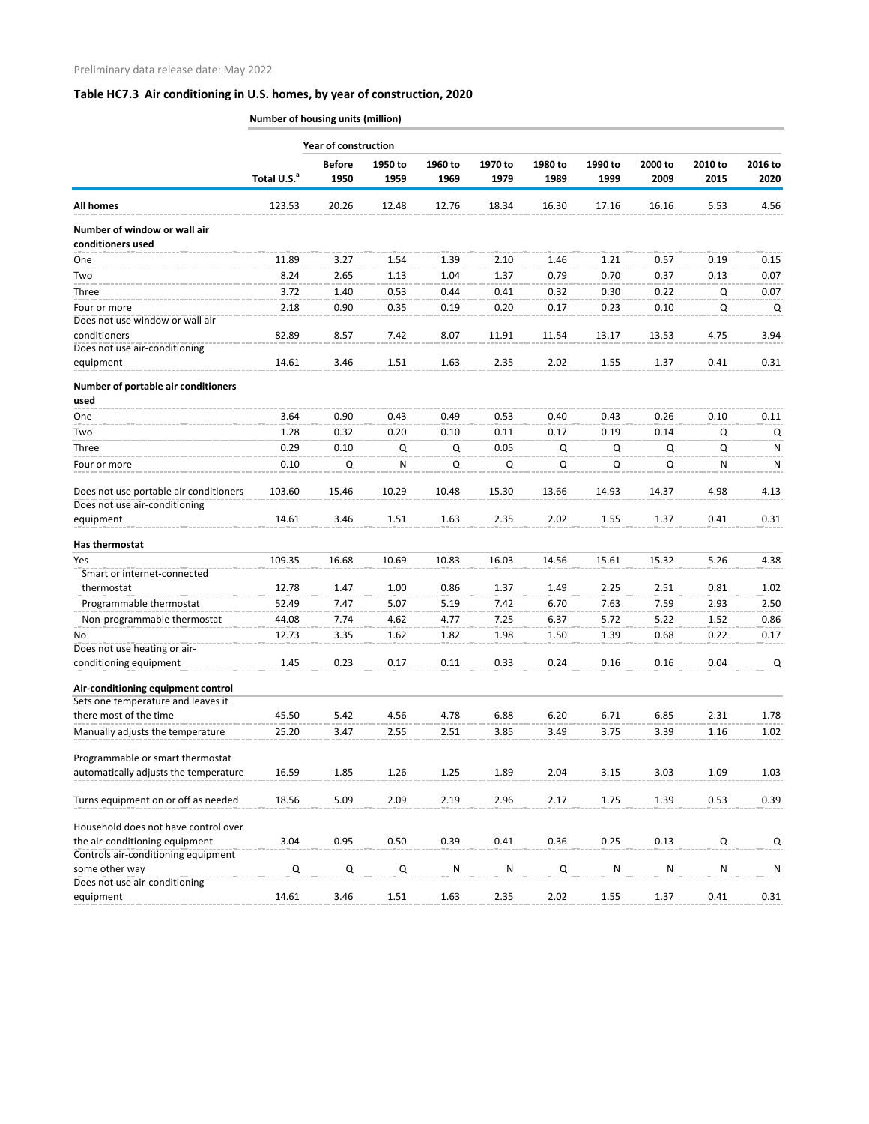**Number of housing units (million)**

|                                                   |                         | <b>Year of construction</b> |                 |                 |                 |                 |                 |                 |                 |                 |  |
|---------------------------------------------------|-------------------------|-----------------------------|-----------------|-----------------|-----------------|-----------------|-----------------|-----------------|-----------------|-----------------|--|
|                                                   | Total U.S. <sup>a</sup> | <b>Before</b><br>1950       | 1950 to<br>1959 | 1960 to<br>1969 | 1970 to<br>1979 | 1980 to<br>1989 | 1990 to<br>1999 | 2000 to<br>2009 | 2010 to<br>2015 | 2016 to<br>2020 |  |
| <b>All homes</b>                                  | 123.53                  | 20.26                       | 12.48           | 12.76           | 18.34           | 16.30           | 17.16           | 16.16           | 5.53            | 4.56            |  |
| Number of window or wall air<br>conditioners used |                         |                             |                 |                 |                 |                 |                 |                 |                 |                 |  |
| One                                               | 11.89                   | 3.27                        | 1.54            | 1.39            | 2.10            | 1.46            | 1.21            | 0.57            | 0.19            | 0.15            |  |
| Two                                               | 8.24                    | 2.65                        | 1.13            | 1.04            | 1.37            | 0.79            | 0.70            | 0.37            | 0.13            | 0.07            |  |
| Three                                             | 3.72                    | 1.40                        | 0.53            | 0.44            | 0.41            | 0.32            | 0.30            | 0.22            | Q               | 0.07            |  |
| Four or more                                      | 2.18                    | 0.90                        | 0.35            | 0.19            | 0.20            | 0.17            | 0.23            | 0.10            | Q               | Q               |  |
| Does not use window or wall air                   |                         |                             |                 |                 |                 |                 |                 |                 |                 |                 |  |
| conditioners<br>Does not use air-conditioning     | 82.89                   | 8.57                        | 7.42            | 8.07            | 11.91           | 11.54           | 13.17           | 13.53           | 4.75            | 3.94            |  |
| equipment                                         | 14.61                   | 3.46                        | 1.51            | 1.63            | 2.35            | 2.02            | 1.55            | 1.37            | 0.41            | 0.31            |  |
| Number of portable air conditioners               |                         |                             |                 |                 |                 |                 |                 |                 |                 |                 |  |
| used                                              |                         |                             |                 |                 |                 |                 |                 |                 |                 |                 |  |
| One                                               | 3.64                    | 0.90                        | 0.43            | 0.49            | 0.53            | 0.40            | 0.43            | 0.26            | 0.10            | 0.11            |  |
| Two                                               | 1.28                    | 0.32                        | 0.20            | 0.10            | 0.11            | 0.17            | 0.19            | 0.14            | Q               | Q               |  |
| Three                                             | 0.29                    | 0.10                        | Q               | Q               | 0.05            | Q               | Q               | Q               | Q               | N               |  |
| Four or more                                      | 0.10                    | Q                           | N               | Q               | Q               | Q               | Q               | Q               | N               | N               |  |
|                                                   |                         |                             |                 |                 |                 |                 |                 |                 |                 |                 |  |
| Does not use portable air conditioners            | 103.60                  | 15.46                       | 10.29           | 10.48           | 15.30           | 13.66           | 14.93           | 14.37           | 4.98            | 4.13            |  |
| Does not use air-conditioning                     |                         |                             |                 |                 |                 |                 |                 |                 |                 |                 |  |
| equipment                                         | 14.61                   | 3.46                        | 1.51            | 1.63            | 2.35            | 2.02            | 1.55            | 1.37            | 0.41            | 0.31            |  |
| Has thermostat                                    |                         |                             |                 |                 |                 |                 |                 |                 |                 |                 |  |
| Yes                                               | 109.35                  | 16.68                       | 10.69           | 10.83           | 16.03           | 14.56           | 15.61           | 15.32           | 5.26            | 4.38            |  |
| Smart or internet-connected                       |                         |                             |                 |                 |                 |                 |                 |                 |                 |                 |  |
| thermostat                                        | 12.78                   | 1.47                        | 1.00            | 0.86            | 1.37            | 1.49            | 2.25            | 2.51            | 0.81            | 1.02            |  |
| Programmable thermostat                           | 52.49                   | 7.47                        | 5.07            | 5.19            | 7.42            | 6.70            | 7.63            | 7.59            | 2.93            | 2.50            |  |
| Non-programmable thermostat                       | 44.08                   | 7.74                        | 4.62            | 4.77            | 7.25            | 6.37            | 5.72            | 5.22            | 1.52            | 0.86            |  |
| No                                                | 12.73                   | 3.35                        | 1.62            | 1.82            | 1.98            | 1.50            | 1.39            | 0.68            | 0.22            | 0.17            |  |
| Does not use heating or air-                      |                         |                             |                 |                 |                 |                 |                 |                 |                 |                 |  |
| conditioning equipment                            | 1.45                    | 0.23                        | 0.17            | 0.11            | 0.33            | 0.24            | 0.16            | 0.16            | 0.04            | Q               |  |
| Air-conditioning equipment control                |                         |                             |                 |                 |                 |                 |                 |                 |                 |                 |  |
| Sets one temperature and leaves it                |                         |                             |                 |                 |                 |                 |                 |                 |                 |                 |  |
| there most of the time                            | 45.50                   | 5.42                        | 4.56            | 4.78            | 6.88            | 6.20            | 6.71            | 6.85            | 2.31            | 1.78            |  |
| Manually adjusts the temperature                  | 25.20                   | 3.47                        | 2.55            | 2.51            | 3.85            | 3.49            | 3.75            | 3.39            | 1.16            | 1.02            |  |
|                                                   |                         |                             |                 |                 |                 |                 |                 |                 |                 |                 |  |
| Programmable or smart thermostat                  | 16.59                   |                             | 1.26            |                 | 1.89            | 2.04            |                 |                 | 1.09            |                 |  |
| automatically adjusts the temperature             |                         | 1.85                        |                 | 1.25            |                 |                 | 3.15            | 3.03            |                 | 1.03            |  |
| Turns equipment on or off as needed               | 18.56                   | 5.09                        | 2.09            | 2.19            | 2.96            | 2.17            | 1.75            | 1.39            | 0.53            | 0.39            |  |
| Household does not have control over              |                         |                             |                 |                 |                 |                 |                 |                 |                 |                 |  |
| the air-conditioning equipment                    | 3.04                    | 0.95                        | 0.50            | 0.39            | 0.41            | 0.36            | 0.25            | 0.13            | Q               | Q               |  |
| Controls air-conditioning equipment               |                         |                             |                 |                 |                 |                 |                 |                 |                 |                 |  |
| some other way<br>Does not use air-conditioning   | Q                       | $\mathsf Q$                 | Q               | ${\sf N}$       | N               | Q               | N               | ${\sf N}$       | ${\sf N}$       | N               |  |
| equipment                                         | 14.61                   | 3.46                        | 1.51            | 1.63            | 2.35            | 2.02            | 1.55            | 1.37            | 0.41            | 0.31            |  |
|                                                   |                         |                             |                 |                 |                 |                 |                 |                 |                 |                 |  |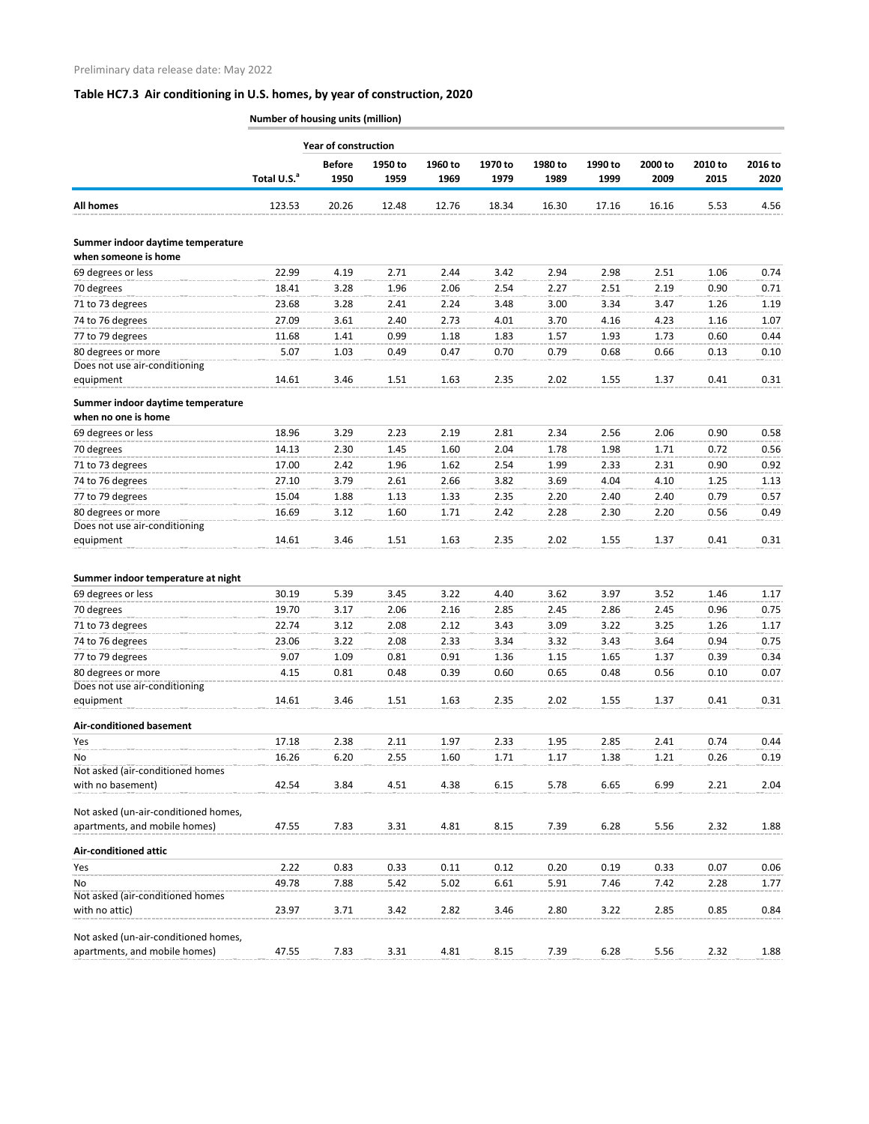**Number of housing units (million)**

|                                                           | <b>Year of construction</b> |                       |                 |                 |                 |                 |                 |                 |                 |                 |  |  |
|-----------------------------------------------------------|-----------------------------|-----------------------|-----------------|-----------------|-----------------|-----------------|-----------------|-----------------|-----------------|-----------------|--|--|
|                                                           | Total U.S. <sup>a</sup>     | <b>Before</b><br>1950 | 1950 to<br>1959 | 1960 to<br>1969 | 1970 to<br>1979 | 1980 to<br>1989 | 1990 to<br>1999 | 2000 to<br>2009 | 2010 to<br>2015 | 2016 to<br>2020 |  |  |
| <b>All homes</b>                                          | 123.53                      | 20.26                 | 12.48           | 12.76           | 18.34           | 16.30           | 17.16           | 16.16           | 5.53            | 4.56            |  |  |
| Summer indoor daytime temperature<br>when someone is home |                             |                       |                 |                 |                 |                 |                 |                 |                 |                 |  |  |
| 69 degrees or less                                        | 22.99                       | 4.19                  | 2.71            | 2.44            | 3.42            | 2.94            | 2.98            | 2.51            | 1.06            | 0.74            |  |  |
| 70 degrees                                                | 18.41                       | 3.28                  | 1.96            | 2.06            | 2.54            | 2.27            | 2.51            | 2.19            | 0.90            | 0.71            |  |  |
| 71 to 73 degrees                                          | 23.68                       | 3.28                  | 2.41            | 2.24            | 3.48            | 3.00            | 3.34            | 3.47            | 1.26            | 1.19            |  |  |
| 74 to 76 degrees                                          | 27.09                       | 3.61                  | 2.40            | 2.73            | 4.01            | 3.70            | 4.16            | 4.23            | 1.16            | 1.07            |  |  |
| 77 to 79 degrees                                          | 11.68                       | 1.41                  | 0.99            | 1.18            | 1.83            | 1.57            | 1.93            | 1.73            | 0.60            | 0.44            |  |  |
| 80 degrees or more                                        | 5.07                        | 1.03                  | 0.49            | 0.47            | 0.70            | 0.79            | 0.68            | 0.66            | 0.13            | 0.10            |  |  |
| Does not use air-conditioning                             |                             |                       |                 |                 |                 |                 |                 |                 |                 |                 |  |  |
| equipment                                                 | 14.61                       | 3.46                  | 1.51            | 1.63            | 2.35            | 2.02            | 1.55            | 1.37            | 0.41            | 0.31            |  |  |
|                                                           |                             |                       |                 |                 |                 |                 |                 |                 |                 |                 |  |  |
| Summer indoor daytime temperature                         |                             |                       |                 |                 |                 |                 |                 |                 |                 |                 |  |  |
| when no one is home                                       |                             |                       |                 |                 |                 |                 |                 |                 |                 |                 |  |  |
| 69 degrees or less                                        | 18.96                       | 3.29                  | 2.23            | 2.19            | 2.81            | 2.34            | 2.56            | 2.06            | 0.90            | 0.58            |  |  |
| 70 degrees                                                | 14.13                       | 2.30                  | 1.45            | 1.60            | 2.04            | 1.78            | 1.98            | 1.71            | 0.72            | 0.56            |  |  |
| 71 to 73 degrees                                          | 17.00                       | 2.42                  | 1.96            | 1.62            | 2.54            | 1.99            | 2.33            | 2.31            | 0.90            | 0.92            |  |  |
| 74 to 76 degrees                                          | 27.10                       | 3.79                  | 2.61            | 2.66            | 3.82            | 3.69            | 4.04            | 4.10            | 1.25            | 1.13            |  |  |
| 77 to 79 degrees                                          | 15.04                       | 1.88                  | 1.13            | 1.33            | 2.35            | 2.20            | 2.40            | 2.40            | 0.79            | 0.57            |  |  |
| 80 degrees or more                                        | 16.69                       | 3.12                  | 1.60            | 1.71            | 2.42            | 2.28            | 2.30            | 2.20            | 0.56            | 0.49            |  |  |
| Does not use air-conditioning                             |                             |                       |                 | 1.63            | 2.35            | 2.02            |                 |                 | 0.41            |                 |  |  |
| equipment                                                 | 14.61                       | 3.46                  | 1.51            |                 |                 |                 | 1.55            | 1.37            |                 | 0.31            |  |  |
| Summer indoor temperature at night                        |                             |                       |                 |                 |                 |                 |                 |                 |                 |                 |  |  |
| 69 degrees or less                                        | 30.19                       | 5.39                  | 3.45            | 3.22            | 4.40            | 3.62            | 3.97            | 3.52            | 1.46            | 1.17            |  |  |
| 70 degrees                                                | 19.70                       | 3.17                  | 2.06            | 2.16            | 2.85            | 2.45            | 2.86            | 2.45            | 0.96            | 0.75            |  |  |
| 71 to 73 degrees                                          | 22.74                       | 3.12                  | 2.08            | 2.12            | 3.43            | 3.09            | 3.22            | 3.25            | 1.26            | 1.17            |  |  |
| 74 to 76 degrees                                          | 23.06                       | 3.22                  | 2.08            | 2.33            | 3.34            | 3.32            | 3.43            | 3.64            | 0.94            | 0.75            |  |  |
| 77 to 79 degrees                                          | 9.07                        | 1.09                  | 0.81            | 0.91            | 1.36            | 1.15            | 1.65            | 1.37            | 0.39            | 0.34            |  |  |
| 80 degrees or more                                        | 4.15                        | 0.81                  | 0.48            | 0.39            | 0.60            | 0.65            | 0.48            | 0.56            | 0.10            | 0.07            |  |  |
| Does not use air-conditioning                             |                             |                       |                 |                 |                 |                 |                 |                 |                 |                 |  |  |
| equipment                                                 | 14.61                       | 3.46                  | 1.51            | 1.63            | 2.35            | 2.02            | 1.55            | 1.37            | 0.41            | 0.31            |  |  |
|                                                           |                             |                       |                 |                 |                 |                 |                 |                 |                 |                 |  |  |
| <b>Air-conditioned basement</b>                           |                             |                       |                 |                 |                 |                 |                 |                 |                 |                 |  |  |
| Yes                                                       | 17.18                       | 2.38                  | 2.11            | 1.97            | 2.33            | 1.95            | 2.85            | 2.41            | 0.74            | 0.44            |  |  |
| No<br>Not asked (air-conditioned homes                    | 16.26                       | 6.20                  | 2.55            | 1.60            | 1.71            | 1.17            | 1.38            | 1.21            | 0.26            | 0.19            |  |  |
| with no basement)                                         | 42.54                       | 3.84                  | 4.51            | 4.38            | 6.15            | 5.78            | 6.65            | 6.99            | 2.21            | 2.04            |  |  |
|                                                           |                             |                       |                 |                 |                 |                 |                 |                 |                 |                 |  |  |
| Not asked (un-air-conditioned homes,                      |                             |                       |                 |                 |                 |                 |                 |                 |                 |                 |  |  |
| apartments, and mobile homes)                             | 47.55                       | 7.83                  | 3.31            | 4.81            | 8.15            | 7.39            | 6.28            | 5.56            | 2.32            | 1.88            |  |  |
| <b>Air-conditioned attic</b>                              |                             |                       |                 |                 |                 |                 |                 |                 |                 |                 |  |  |
| Yes                                                       | 2.22                        | 0.83                  | 0.33            | 0.11            | 0.12            | 0.20            | 0.19            | 0.33            | 0.07            | 0.06            |  |  |
| No                                                        | 49.78                       | 7.88                  | 5.42            | 5.02            | 6.61            | 5.91            | 7.46            | 7.42            | 2.28            | 1.77            |  |  |
| Not asked (air-conditioned homes                          |                             |                       |                 |                 |                 |                 |                 |                 |                 |                 |  |  |
| with no attic)                                            | 23.97                       | 3.71                  | 3.42            | 2.82            | 3.46            | 2.80            | 3.22            | 2.85            | 0.85            | 0.84            |  |  |
|                                                           |                             |                       |                 |                 |                 |                 |                 |                 |                 |                 |  |  |
| Not asked (un-air-conditioned homes,                      |                             |                       |                 |                 |                 |                 |                 |                 |                 |                 |  |  |
| apartments, and mobile homes)                             | 47.55                       | 7.83                  | 3.31            | 4.81            | 8.15            | 7.39            | 6.28            | 5.56            | 2.32            | 1.88            |  |  |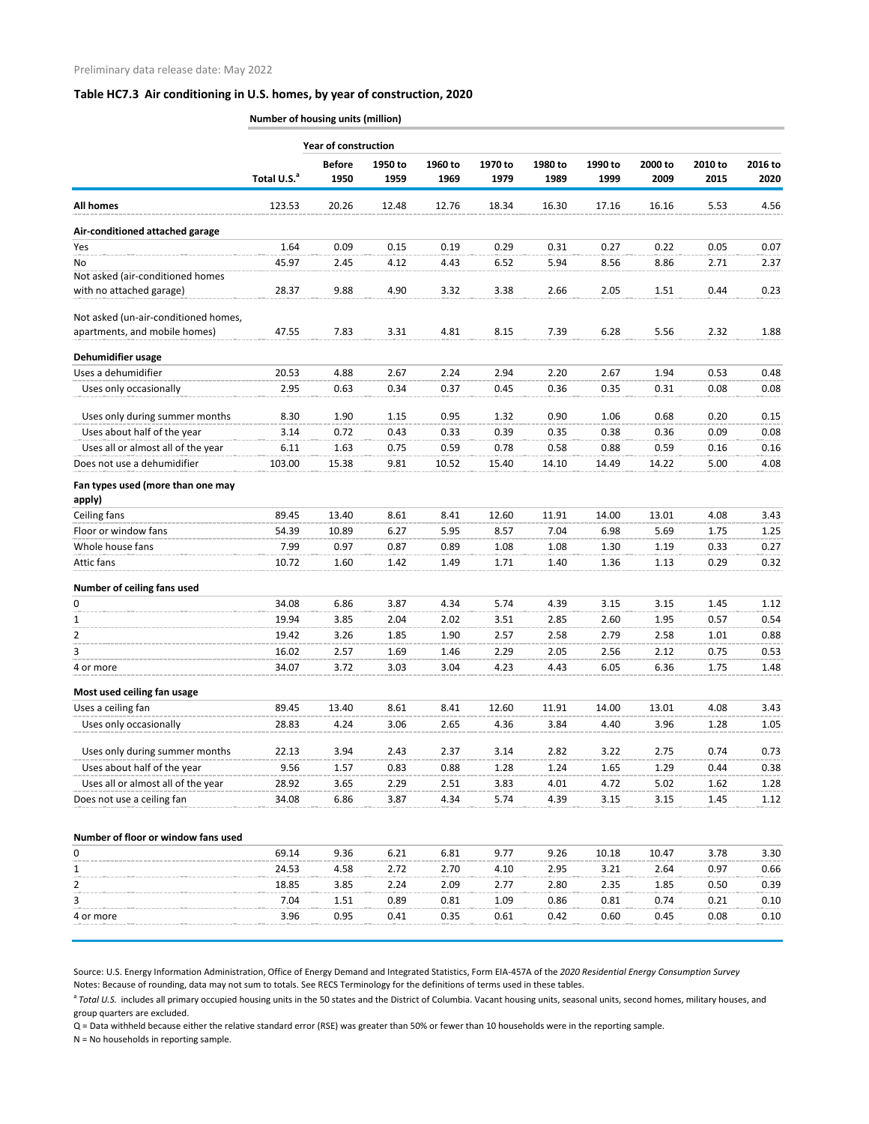| <b>Year of construction</b><br><b>Before</b><br>1950 to<br>1960 to<br>1970 to<br>1980 to<br>1990 to<br>2000 to<br>2010 to<br>2016 to<br>Total U.S. <sup>a</sup><br>1950<br>1959<br>1969<br>1979<br>1989<br>1999<br>2009<br>2015<br>2020<br><b>All homes</b><br>123.53<br>20.26<br>12.48<br>12.76<br>18.34<br>16.30<br>17.16<br>16.16<br>5.53<br>4.56<br>Air-conditioned attached garage<br>1.64<br>0.09<br>0.15<br>0.19<br>0.29<br>0.27<br>0.22<br>0.05<br>0.07<br>0.31<br>Yes<br>45.97<br>2.45<br>4.12<br>6.52<br>5.94<br>8.56<br>8.86<br>2.71<br>No<br>4.43<br>2.37<br>with no attached garage)<br>28.37<br>9.88<br>4.90<br>3.32<br>3.38<br>2.66<br>2.05<br>1.51<br>0.44<br>0.23<br>Not asked (un-air-conditioned homes,<br>apartments, and mobile homes)<br>47.55<br>7.83<br>3.31<br>4.81<br>8.15<br>7.39<br>6.28<br>5.56<br>2.32<br>1.88<br>Dehumidifier usage<br>Uses a dehumidifier<br>20.53<br>4.88<br>2.67<br>2.24<br>2.94<br>2.20<br>2.67<br>1.94<br>0.53<br>0.48<br>2.95<br>0.63<br>0.34<br>0.37<br>0.45<br>0.36<br>0.35<br>0.31<br>Uses only occasionally<br>0.08<br>0.08<br>0.68<br>8.30<br>1.90<br>1.15<br>0.95<br>1.32<br>0.90<br>1.06<br>0.20<br>0.15<br>Uses only during summer months<br>Uses about half of the year<br>0.08<br>3.14<br>0.72<br>0.43<br>0.33<br>0.39<br>0.35<br>0.38<br>0.36<br>0.09<br>Uses all or almost all of the year<br>6.11<br>0.59<br>0.78<br>0.58<br>0.88<br>0.59<br>1.63<br>0.75<br>0.16<br>0.16<br>Does not use a dehumidifier<br>103.00<br>15.38<br>9.81<br>10.52<br>15.40<br>14.49<br>14.22<br>5.00<br>4.08<br>14.10<br>Ceiling fans<br>89.45<br>13.40<br>8.61<br>8.41<br>12.60<br>11.91<br>14.00<br>13.01<br>4.08<br>3.43<br>Floor or window fans<br>54.39<br>10.89<br>6.27<br>5.95<br>8.57<br>7.04<br>6.98<br>5.69<br>1.75<br>1.25<br>Whole house fans<br>7.99<br>0.97<br>0.87<br>0.89<br>1.08<br>1.08<br>1.19<br>0.33<br>0.27<br>1.30<br>Attic fans<br>0.32<br>10.72<br>1.60<br>1.42<br>1.49<br>1.71<br>1.40<br>0.29<br>1.36<br>1.13<br>Number of ceiling fans used<br>3.87<br>5.74<br>4.39<br>3.15<br>1.45<br>34.08<br>6.86<br>4.34<br>3.15<br>1.12<br>0<br>19.94<br>0.54<br>3.85<br>2.04<br>2.02<br>3.51<br>2.85<br>2.60<br>1.95<br>0.57<br>1<br>$\overline{2}$<br>19.42<br>3.26<br>1.85<br>1.90<br>2.57<br>2.58<br>0.88<br>2.58<br>2.79<br>1.01<br>3<br>16.02<br>1.69<br>2.29<br>2.57<br>1.46<br>2.05<br>2.56<br>2.12<br>0.75<br>0.53<br>34.07<br>3.72<br>3.03<br>3.04<br>4.23<br>4.43<br>6.05<br>6.36<br>1.75<br>1.48<br>Most used ceiling fan usage<br>Uses a ceiling fan<br>13.40<br>89.45<br>8.61<br>8.41<br>12.60<br>11.91<br>14.00<br>13.01<br>4.08<br>3.43<br>Uses only occasionally<br>28.83<br>4.36<br>4.24<br>3.06<br>2.65<br>3.84<br>4.40<br>3.96<br>1.28<br>1.05<br>Uses only during summer months<br>22.13<br>3.94<br>2.43<br>2.37<br>3.14<br>2.82<br>3.22<br>2.75<br>0.74<br>0.73<br>Uses about half of the year<br>9.56<br>1.57<br>0.83<br>0.88<br>1.28<br>1.24<br>1.65<br>1.29<br>0.44<br>0.38<br>Uses all or almost all of the year<br>28.92<br>2.29<br>2.51<br>3.83<br>4.72<br>5.02<br>1.62<br>1.28<br>3.65<br>4.01<br>Does not use a ceiling fan<br>34.08<br>3.87<br>4.34<br>5.74<br>3.15<br>6.86<br>4.39<br>3.15<br>1.45<br>1.12<br>6.81<br>9.26<br>3.78<br>0<br>69.14<br>9.36<br>6.21<br>9.77<br>10.18<br>10.47<br>3.30<br>24.53<br>4.58<br>2.72<br>2.70<br>4.10<br>2.95<br>3.21<br>2.64<br>0.97<br>0.66<br>1<br>$\overline{2}$<br>18.85<br>2.24<br>2.77<br>0.39<br>3.85<br>2.09<br>2.80<br>2.35<br>1.85<br>0.50<br>3<br>7.04<br>0.89<br>1.51<br>0.81<br>1.09<br>0.86<br>0.81<br>0.74<br>0.21<br>0.10<br>3.96<br>0.95<br>0.41<br>0.35<br>0.61<br>0.42<br>0.60<br>0.45<br>0.08<br>0.10<br>4 or more |                                             | Number of housing units (million) |  |  |  |  |  |  |  |  |  |  |  |
|-----------------------------------------------------------------------------------------------------------------------------------------------------------------------------------------------------------------------------------------------------------------------------------------------------------------------------------------------------------------------------------------------------------------------------------------------------------------------------------------------------------------------------------------------------------------------------------------------------------------------------------------------------------------------------------------------------------------------------------------------------------------------------------------------------------------------------------------------------------------------------------------------------------------------------------------------------------------------------------------------------------------------------------------------------------------------------------------------------------------------------------------------------------------------------------------------------------------------------------------------------------------------------------------------------------------------------------------------------------------------------------------------------------------------------------------------------------------------------------------------------------------------------------------------------------------------------------------------------------------------------------------------------------------------------------------------------------------------------------------------------------------------------------------------------------------------------------------------------------------------------------------------------------------------------------------------------------------------------------------------------------------------------------------------------------------------------------------------------------------------------------------------------------------------------------------------------------------------------------------------------------------------------------------------------------------------------------------------------------------------------------------------------------------------------------------------------------------------------------------------------------------------------------------------------------------------------------------------------------------------------------------------------------------------------------------------------------------------------------------------------------------------------------------------------------------------------------------------------------------------------------------------------------------------------------------------------------------------------------------------------------------------------------------------------------------------------------------------------------------------------------------------------------------------------------------------------------------------------------------------------------------------------------------------------------------------------------------------------------------------------------------------------------------------------------------------------------------------------------------------------------------------------------------------------------------------------------------------------------------------------------------------------------------------------|---------------------------------------------|-----------------------------------|--|--|--|--|--|--|--|--|--|--|--|
|                                                                                                                                                                                                                                                                                                                                                                                                                                                                                                                                                                                                                                                                                                                                                                                                                                                                                                                                                                                                                                                                                                                                                                                                                                                                                                                                                                                                                                                                                                                                                                                                                                                                                                                                                                                                                                                                                                                                                                                                                                                                                                                                                                                                                                                                                                                                                                                                                                                                                                                                                                                                                                                                                                                                                                                                                                                                                                                                                                                                                                                                                                                                                                                                                                                                                                                                                                                                                                                                                                                                                                                                                                                                             |                                             |                                   |  |  |  |  |  |  |  |  |  |  |  |
|                                                                                                                                                                                                                                                                                                                                                                                                                                                                                                                                                                                                                                                                                                                                                                                                                                                                                                                                                                                                                                                                                                                                                                                                                                                                                                                                                                                                                                                                                                                                                                                                                                                                                                                                                                                                                                                                                                                                                                                                                                                                                                                                                                                                                                                                                                                                                                                                                                                                                                                                                                                                                                                                                                                                                                                                                                                                                                                                                                                                                                                                                                                                                                                                                                                                                                                                                                                                                                                                                                                                                                                                                                                                             |                                             |                                   |  |  |  |  |  |  |  |  |  |  |  |
|                                                                                                                                                                                                                                                                                                                                                                                                                                                                                                                                                                                                                                                                                                                                                                                                                                                                                                                                                                                                                                                                                                                                                                                                                                                                                                                                                                                                                                                                                                                                                                                                                                                                                                                                                                                                                                                                                                                                                                                                                                                                                                                                                                                                                                                                                                                                                                                                                                                                                                                                                                                                                                                                                                                                                                                                                                                                                                                                                                                                                                                                                                                                                                                                                                                                                                                                                                                                                                                                                                                                                                                                                                                                             |                                             |                                   |  |  |  |  |  |  |  |  |  |  |  |
|                                                                                                                                                                                                                                                                                                                                                                                                                                                                                                                                                                                                                                                                                                                                                                                                                                                                                                                                                                                                                                                                                                                                                                                                                                                                                                                                                                                                                                                                                                                                                                                                                                                                                                                                                                                                                                                                                                                                                                                                                                                                                                                                                                                                                                                                                                                                                                                                                                                                                                                                                                                                                                                                                                                                                                                                                                                                                                                                                                                                                                                                                                                                                                                                                                                                                                                                                                                                                                                                                                                                                                                                                                                                             |                                             |                                   |  |  |  |  |  |  |  |  |  |  |  |
|                                                                                                                                                                                                                                                                                                                                                                                                                                                                                                                                                                                                                                                                                                                                                                                                                                                                                                                                                                                                                                                                                                                                                                                                                                                                                                                                                                                                                                                                                                                                                                                                                                                                                                                                                                                                                                                                                                                                                                                                                                                                                                                                                                                                                                                                                                                                                                                                                                                                                                                                                                                                                                                                                                                                                                                                                                                                                                                                                                                                                                                                                                                                                                                                                                                                                                                                                                                                                                                                                                                                                                                                                                                                             |                                             |                                   |  |  |  |  |  |  |  |  |  |  |  |
|                                                                                                                                                                                                                                                                                                                                                                                                                                                                                                                                                                                                                                                                                                                                                                                                                                                                                                                                                                                                                                                                                                                                                                                                                                                                                                                                                                                                                                                                                                                                                                                                                                                                                                                                                                                                                                                                                                                                                                                                                                                                                                                                                                                                                                                                                                                                                                                                                                                                                                                                                                                                                                                                                                                                                                                                                                                                                                                                                                                                                                                                                                                                                                                                                                                                                                                                                                                                                                                                                                                                                                                                                                                                             |                                             |                                   |  |  |  |  |  |  |  |  |  |  |  |
|                                                                                                                                                                                                                                                                                                                                                                                                                                                                                                                                                                                                                                                                                                                                                                                                                                                                                                                                                                                                                                                                                                                                                                                                                                                                                                                                                                                                                                                                                                                                                                                                                                                                                                                                                                                                                                                                                                                                                                                                                                                                                                                                                                                                                                                                                                                                                                                                                                                                                                                                                                                                                                                                                                                                                                                                                                                                                                                                                                                                                                                                                                                                                                                                                                                                                                                                                                                                                                                                                                                                                                                                                                                                             | Not asked (air-conditioned homes            |                                   |  |  |  |  |  |  |  |  |  |  |  |
|                                                                                                                                                                                                                                                                                                                                                                                                                                                                                                                                                                                                                                                                                                                                                                                                                                                                                                                                                                                                                                                                                                                                                                                                                                                                                                                                                                                                                                                                                                                                                                                                                                                                                                                                                                                                                                                                                                                                                                                                                                                                                                                                                                                                                                                                                                                                                                                                                                                                                                                                                                                                                                                                                                                                                                                                                                                                                                                                                                                                                                                                                                                                                                                                                                                                                                                                                                                                                                                                                                                                                                                                                                                                             |                                             |                                   |  |  |  |  |  |  |  |  |  |  |  |
|                                                                                                                                                                                                                                                                                                                                                                                                                                                                                                                                                                                                                                                                                                                                                                                                                                                                                                                                                                                                                                                                                                                                                                                                                                                                                                                                                                                                                                                                                                                                                                                                                                                                                                                                                                                                                                                                                                                                                                                                                                                                                                                                                                                                                                                                                                                                                                                                                                                                                                                                                                                                                                                                                                                                                                                                                                                                                                                                                                                                                                                                                                                                                                                                                                                                                                                                                                                                                                                                                                                                                                                                                                                                             |                                             |                                   |  |  |  |  |  |  |  |  |  |  |  |
|                                                                                                                                                                                                                                                                                                                                                                                                                                                                                                                                                                                                                                                                                                                                                                                                                                                                                                                                                                                                                                                                                                                                                                                                                                                                                                                                                                                                                                                                                                                                                                                                                                                                                                                                                                                                                                                                                                                                                                                                                                                                                                                                                                                                                                                                                                                                                                                                                                                                                                                                                                                                                                                                                                                                                                                                                                                                                                                                                                                                                                                                                                                                                                                                                                                                                                                                                                                                                                                                                                                                                                                                                                                                             |                                             |                                   |  |  |  |  |  |  |  |  |  |  |  |
|                                                                                                                                                                                                                                                                                                                                                                                                                                                                                                                                                                                                                                                                                                                                                                                                                                                                                                                                                                                                                                                                                                                                                                                                                                                                                                                                                                                                                                                                                                                                                                                                                                                                                                                                                                                                                                                                                                                                                                                                                                                                                                                                                                                                                                                                                                                                                                                                                                                                                                                                                                                                                                                                                                                                                                                                                                                                                                                                                                                                                                                                                                                                                                                                                                                                                                                                                                                                                                                                                                                                                                                                                                                                             |                                             |                                   |  |  |  |  |  |  |  |  |  |  |  |
|                                                                                                                                                                                                                                                                                                                                                                                                                                                                                                                                                                                                                                                                                                                                                                                                                                                                                                                                                                                                                                                                                                                                                                                                                                                                                                                                                                                                                                                                                                                                                                                                                                                                                                                                                                                                                                                                                                                                                                                                                                                                                                                                                                                                                                                                                                                                                                                                                                                                                                                                                                                                                                                                                                                                                                                                                                                                                                                                                                                                                                                                                                                                                                                                                                                                                                                                                                                                                                                                                                                                                                                                                                                                             |                                             |                                   |  |  |  |  |  |  |  |  |  |  |  |
|                                                                                                                                                                                                                                                                                                                                                                                                                                                                                                                                                                                                                                                                                                                                                                                                                                                                                                                                                                                                                                                                                                                                                                                                                                                                                                                                                                                                                                                                                                                                                                                                                                                                                                                                                                                                                                                                                                                                                                                                                                                                                                                                                                                                                                                                                                                                                                                                                                                                                                                                                                                                                                                                                                                                                                                                                                                                                                                                                                                                                                                                                                                                                                                                                                                                                                                                                                                                                                                                                                                                                                                                                                                                             |                                             |                                   |  |  |  |  |  |  |  |  |  |  |  |
|                                                                                                                                                                                                                                                                                                                                                                                                                                                                                                                                                                                                                                                                                                                                                                                                                                                                                                                                                                                                                                                                                                                                                                                                                                                                                                                                                                                                                                                                                                                                                                                                                                                                                                                                                                                                                                                                                                                                                                                                                                                                                                                                                                                                                                                                                                                                                                                                                                                                                                                                                                                                                                                                                                                                                                                                                                                                                                                                                                                                                                                                                                                                                                                                                                                                                                                                                                                                                                                                                                                                                                                                                                                                             |                                             |                                   |  |  |  |  |  |  |  |  |  |  |  |
|                                                                                                                                                                                                                                                                                                                                                                                                                                                                                                                                                                                                                                                                                                                                                                                                                                                                                                                                                                                                                                                                                                                                                                                                                                                                                                                                                                                                                                                                                                                                                                                                                                                                                                                                                                                                                                                                                                                                                                                                                                                                                                                                                                                                                                                                                                                                                                                                                                                                                                                                                                                                                                                                                                                                                                                                                                                                                                                                                                                                                                                                                                                                                                                                                                                                                                                                                                                                                                                                                                                                                                                                                                                                             |                                             |                                   |  |  |  |  |  |  |  |  |  |  |  |
|                                                                                                                                                                                                                                                                                                                                                                                                                                                                                                                                                                                                                                                                                                                                                                                                                                                                                                                                                                                                                                                                                                                                                                                                                                                                                                                                                                                                                                                                                                                                                                                                                                                                                                                                                                                                                                                                                                                                                                                                                                                                                                                                                                                                                                                                                                                                                                                                                                                                                                                                                                                                                                                                                                                                                                                                                                                                                                                                                                                                                                                                                                                                                                                                                                                                                                                                                                                                                                                                                                                                                                                                                                                                             |                                             |                                   |  |  |  |  |  |  |  |  |  |  |  |
|                                                                                                                                                                                                                                                                                                                                                                                                                                                                                                                                                                                                                                                                                                                                                                                                                                                                                                                                                                                                                                                                                                                                                                                                                                                                                                                                                                                                                                                                                                                                                                                                                                                                                                                                                                                                                                                                                                                                                                                                                                                                                                                                                                                                                                                                                                                                                                                                                                                                                                                                                                                                                                                                                                                                                                                                                                                                                                                                                                                                                                                                                                                                                                                                                                                                                                                                                                                                                                                                                                                                                                                                                                                                             |                                             |                                   |  |  |  |  |  |  |  |  |  |  |  |
|                                                                                                                                                                                                                                                                                                                                                                                                                                                                                                                                                                                                                                                                                                                                                                                                                                                                                                                                                                                                                                                                                                                                                                                                                                                                                                                                                                                                                                                                                                                                                                                                                                                                                                                                                                                                                                                                                                                                                                                                                                                                                                                                                                                                                                                                                                                                                                                                                                                                                                                                                                                                                                                                                                                                                                                                                                                                                                                                                                                                                                                                                                                                                                                                                                                                                                                                                                                                                                                                                                                                                                                                                                                                             | Fan types used (more than one may<br>apply) |                                   |  |  |  |  |  |  |  |  |  |  |  |
|                                                                                                                                                                                                                                                                                                                                                                                                                                                                                                                                                                                                                                                                                                                                                                                                                                                                                                                                                                                                                                                                                                                                                                                                                                                                                                                                                                                                                                                                                                                                                                                                                                                                                                                                                                                                                                                                                                                                                                                                                                                                                                                                                                                                                                                                                                                                                                                                                                                                                                                                                                                                                                                                                                                                                                                                                                                                                                                                                                                                                                                                                                                                                                                                                                                                                                                                                                                                                                                                                                                                                                                                                                                                             |                                             |                                   |  |  |  |  |  |  |  |  |  |  |  |
|                                                                                                                                                                                                                                                                                                                                                                                                                                                                                                                                                                                                                                                                                                                                                                                                                                                                                                                                                                                                                                                                                                                                                                                                                                                                                                                                                                                                                                                                                                                                                                                                                                                                                                                                                                                                                                                                                                                                                                                                                                                                                                                                                                                                                                                                                                                                                                                                                                                                                                                                                                                                                                                                                                                                                                                                                                                                                                                                                                                                                                                                                                                                                                                                                                                                                                                                                                                                                                                                                                                                                                                                                                                                             |                                             |                                   |  |  |  |  |  |  |  |  |  |  |  |
|                                                                                                                                                                                                                                                                                                                                                                                                                                                                                                                                                                                                                                                                                                                                                                                                                                                                                                                                                                                                                                                                                                                                                                                                                                                                                                                                                                                                                                                                                                                                                                                                                                                                                                                                                                                                                                                                                                                                                                                                                                                                                                                                                                                                                                                                                                                                                                                                                                                                                                                                                                                                                                                                                                                                                                                                                                                                                                                                                                                                                                                                                                                                                                                                                                                                                                                                                                                                                                                                                                                                                                                                                                                                             |                                             |                                   |  |  |  |  |  |  |  |  |  |  |  |
|                                                                                                                                                                                                                                                                                                                                                                                                                                                                                                                                                                                                                                                                                                                                                                                                                                                                                                                                                                                                                                                                                                                                                                                                                                                                                                                                                                                                                                                                                                                                                                                                                                                                                                                                                                                                                                                                                                                                                                                                                                                                                                                                                                                                                                                                                                                                                                                                                                                                                                                                                                                                                                                                                                                                                                                                                                                                                                                                                                                                                                                                                                                                                                                                                                                                                                                                                                                                                                                                                                                                                                                                                                                                             |                                             |                                   |  |  |  |  |  |  |  |  |  |  |  |
|                                                                                                                                                                                                                                                                                                                                                                                                                                                                                                                                                                                                                                                                                                                                                                                                                                                                                                                                                                                                                                                                                                                                                                                                                                                                                                                                                                                                                                                                                                                                                                                                                                                                                                                                                                                                                                                                                                                                                                                                                                                                                                                                                                                                                                                                                                                                                                                                                                                                                                                                                                                                                                                                                                                                                                                                                                                                                                                                                                                                                                                                                                                                                                                                                                                                                                                                                                                                                                                                                                                                                                                                                                                                             |                                             |                                   |  |  |  |  |  |  |  |  |  |  |  |
|                                                                                                                                                                                                                                                                                                                                                                                                                                                                                                                                                                                                                                                                                                                                                                                                                                                                                                                                                                                                                                                                                                                                                                                                                                                                                                                                                                                                                                                                                                                                                                                                                                                                                                                                                                                                                                                                                                                                                                                                                                                                                                                                                                                                                                                                                                                                                                                                                                                                                                                                                                                                                                                                                                                                                                                                                                                                                                                                                                                                                                                                                                                                                                                                                                                                                                                                                                                                                                                                                                                                                                                                                                                                             |                                             |                                   |  |  |  |  |  |  |  |  |  |  |  |
|                                                                                                                                                                                                                                                                                                                                                                                                                                                                                                                                                                                                                                                                                                                                                                                                                                                                                                                                                                                                                                                                                                                                                                                                                                                                                                                                                                                                                                                                                                                                                                                                                                                                                                                                                                                                                                                                                                                                                                                                                                                                                                                                                                                                                                                                                                                                                                                                                                                                                                                                                                                                                                                                                                                                                                                                                                                                                                                                                                                                                                                                                                                                                                                                                                                                                                                                                                                                                                                                                                                                                                                                                                                                             |                                             |                                   |  |  |  |  |  |  |  |  |  |  |  |
|                                                                                                                                                                                                                                                                                                                                                                                                                                                                                                                                                                                                                                                                                                                                                                                                                                                                                                                                                                                                                                                                                                                                                                                                                                                                                                                                                                                                                                                                                                                                                                                                                                                                                                                                                                                                                                                                                                                                                                                                                                                                                                                                                                                                                                                                                                                                                                                                                                                                                                                                                                                                                                                                                                                                                                                                                                                                                                                                                                                                                                                                                                                                                                                                                                                                                                                                                                                                                                                                                                                                                                                                                                                                             |                                             |                                   |  |  |  |  |  |  |  |  |  |  |  |
|                                                                                                                                                                                                                                                                                                                                                                                                                                                                                                                                                                                                                                                                                                                                                                                                                                                                                                                                                                                                                                                                                                                                                                                                                                                                                                                                                                                                                                                                                                                                                                                                                                                                                                                                                                                                                                                                                                                                                                                                                                                                                                                                                                                                                                                                                                                                                                                                                                                                                                                                                                                                                                                                                                                                                                                                                                                                                                                                                                                                                                                                                                                                                                                                                                                                                                                                                                                                                                                                                                                                                                                                                                                                             |                                             |                                   |  |  |  |  |  |  |  |  |  |  |  |
|                                                                                                                                                                                                                                                                                                                                                                                                                                                                                                                                                                                                                                                                                                                                                                                                                                                                                                                                                                                                                                                                                                                                                                                                                                                                                                                                                                                                                                                                                                                                                                                                                                                                                                                                                                                                                                                                                                                                                                                                                                                                                                                                                                                                                                                                                                                                                                                                                                                                                                                                                                                                                                                                                                                                                                                                                                                                                                                                                                                                                                                                                                                                                                                                                                                                                                                                                                                                                                                                                                                                                                                                                                                                             | 4 or more                                   |                                   |  |  |  |  |  |  |  |  |  |  |  |
|                                                                                                                                                                                                                                                                                                                                                                                                                                                                                                                                                                                                                                                                                                                                                                                                                                                                                                                                                                                                                                                                                                                                                                                                                                                                                                                                                                                                                                                                                                                                                                                                                                                                                                                                                                                                                                                                                                                                                                                                                                                                                                                                                                                                                                                                                                                                                                                                                                                                                                                                                                                                                                                                                                                                                                                                                                                                                                                                                                                                                                                                                                                                                                                                                                                                                                                                                                                                                                                                                                                                                                                                                                                                             |                                             |                                   |  |  |  |  |  |  |  |  |  |  |  |
|                                                                                                                                                                                                                                                                                                                                                                                                                                                                                                                                                                                                                                                                                                                                                                                                                                                                                                                                                                                                                                                                                                                                                                                                                                                                                                                                                                                                                                                                                                                                                                                                                                                                                                                                                                                                                                                                                                                                                                                                                                                                                                                                                                                                                                                                                                                                                                                                                                                                                                                                                                                                                                                                                                                                                                                                                                                                                                                                                                                                                                                                                                                                                                                                                                                                                                                                                                                                                                                                                                                                                                                                                                                                             |                                             |                                   |  |  |  |  |  |  |  |  |  |  |  |
|                                                                                                                                                                                                                                                                                                                                                                                                                                                                                                                                                                                                                                                                                                                                                                                                                                                                                                                                                                                                                                                                                                                                                                                                                                                                                                                                                                                                                                                                                                                                                                                                                                                                                                                                                                                                                                                                                                                                                                                                                                                                                                                                                                                                                                                                                                                                                                                                                                                                                                                                                                                                                                                                                                                                                                                                                                                                                                                                                                                                                                                                                                                                                                                                                                                                                                                                                                                                                                                                                                                                                                                                                                                                             |                                             |                                   |  |  |  |  |  |  |  |  |  |  |  |
|                                                                                                                                                                                                                                                                                                                                                                                                                                                                                                                                                                                                                                                                                                                                                                                                                                                                                                                                                                                                                                                                                                                                                                                                                                                                                                                                                                                                                                                                                                                                                                                                                                                                                                                                                                                                                                                                                                                                                                                                                                                                                                                                                                                                                                                                                                                                                                                                                                                                                                                                                                                                                                                                                                                                                                                                                                                                                                                                                                                                                                                                                                                                                                                                                                                                                                                                                                                                                                                                                                                                                                                                                                                                             |                                             |                                   |  |  |  |  |  |  |  |  |  |  |  |
|                                                                                                                                                                                                                                                                                                                                                                                                                                                                                                                                                                                                                                                                                                                                                                                                                                                                                                                                                                                                                                                                                                                                                                                                                                                                                                                                                                                                                                                                                                                                                                                                                                                                                                                                                                                                                                                                                                                                                                                                                                                                                                                                                                                                                                                                                                                                                                                                                                                                                                                                                                                                                                                                                                                                                                                                                                                                                                                                                                                                                                                                                                                                                                                                                                                                                                                                                                                                                                                                                                                                                                                                                                                                             |                                             |                                   |  |  |  |  |  |  |  |  |  |  |  |
|                                                                                                                                                                                                                                                                                                                                                                                                                                                                                                                                                                                                                                                                                                                                                                                                                                                                                                                                                                                                                                                                                                                                                                                                                                                                                                                                                                                                                                                                                                                                                                                                                                                                                                                                                                                                                                                                                                                                                                                                                                                                                                                                                                                                                                                                                                                                                                                                                                                                                                                                                                                                                                                                                                                                                                                                                                                                                                                                                                                                                                                                                                                                                                                                                                                                                                                                                                                                                                                                                                                                                                                                                                                                             |                                             |                                   |  |  |  |  |  |  |  |  |  |  |  |
|                                                                                                                                                                                                                                                                                                                                                                                                                                                                                                                                                                                                                                                                                                                                                                                                                                                                                                                                                                                                                                                                                                                                                                                                                                                                                                                                                                                                                                                                                                                                                                                                                                                                                                                                                                                                                                                                                                                                                                                                                                                                                                                                                                                                                                                                                                                                                                                                                                                                                                                                                                                                                                                                                                                                                                                                                                                                                                                                                                                                                                                                                                                                                                                                                                                                                                                                                                                                                                                                                                                                                                                                                                                                             |                                             |                                   |  |  |  |  |  |  |  |  |  |  |  |
|                                                                                                                                                                                                                                                                                                                                                                                                                                                                                                                                                                                                                                                                                                                                                                                                                                                                                                                                                                                                                                                                                                                                                                                                                                                                                                                                                                                                                                                                                                                                                                                                                                                                                                                                                                                                                                                                                                                                                                                                                                                                                                                                                                                                                                                                                                                                                                                                                                                                                                                                                                                                                                                                                                                                                                                                                                                                                                                                                                                                                                                                                                                                                                                                                                                                                                                                                                                                                                                                                                                                                                                                                                                                             |                                             |                                   |  |  |  |  |  |  |  |  |  |  |  |
|                                                                                                                                                                                                                                                                                                                                                                                                                                                                                                                                                                                                                                                                                                                                                                                                                                                                                                                                                                                                                                                                                                                                                                                                                                                                                                                                                                                                                                                                                                                                                                                                                                                                                                                                                                                                                                                                                                                                                                                                                                                                                                                                                                                                                                                                                                                                                                                                                                                                                                                                                                                                                                                                                                                                                                                                                                                                                                                                                                                                                                                                                                                                                                                                                                                                                                                                                                                                                                                                                                                                                                                                                                                                             | Number of floor or window fans used         |                                   |  |  |  |  |  |  |  |  |  |  |  |
|                                                                                                                                                                                                                                                                                                                                                                                                                                                                                                                                                                                                                                                                                                                                                                                                                                                                                                                                                                                                                                                                                                                                                                                                                                                                                                                                                                                                                                                                                                                                                                                                                                                                                                                                                                                                                                                                                                                                                                                                                                                                                                                                                                                                                                                                                                                                                                                                                                                                                                                                                                                                                                                                                                                                                                                                                                                                                                                                                                                                                                                                                                                                                                                                                                                                                                                                                                                                                                                                                                                                                                                                                                                                             |                                             |                                   |  |  |  |  |  |  |  |  |  |  |  |
|                                                                                                                                                                                                                                                                                                                                                                                                                                                                                                                                                                                                                                                                                                                                                                                                                                                                                                                                                                                                                                                                                                                                                                                                                                                                                                                                                                                                                                                                                                                                                                                                                                                                                                                                                                                                                                                                                                                                                                                                                                                                                                                                                                                                                                                                                                                                                                                                                                                                                                                                                                                                                                                                                                                                                                                                                                                                                                                                                                                                                                                                                                                                                                                                                                                                                                                                                                                                                                                                                                                                                                                                                                                                             |                                             |                                   |  |  |  |  |  |  |  |  |  |  |  |
|                                                                                                                                                                                                                                                                                                                                                                                                                                                                                                                                                                                                                                                                                                                                                                                                                                                                                                                                                                                                                                                                                                                                                                                                                                                                                                                                                                                                                                                                                                                                                                                                                                                                                                                                                                                                                                                                                                                                                                                                                                                                                                                                                                                                                                                                                                                                                                                                                                                                                                                                                                                                                                                                                                                                                                                                                                                                                                                                                                                                                                                                                                                                                                                                                                                                                                                                                                                                                                                                                                                                                                                                                                                                             |                                             |                                   |  |  |  |  |  |  |  |  |  |  |  |
|                                                                                                                                                                                                                                                                                                                                                                                                                                                                                                                                                                                                                                                                                                                                                                                                                                                                                                                                                                                                                                                                                                                                                                                                                                                                                                                                                                                                                                                                                                                                                                                                                                                                                                                                                                                                                                                                                                                                                                                                                                                                                                                                                                                                                                                                                                                                                                                                                                                                                                                                                                                                                                                                                                                                                                                                                                                                                                                                                                                                                                                                                                                                                                                                                                                                                                                                                                                                                                                                                                                                                                                                                                                                             |                                             |                                   |  |  |  |  |  |  |  |  |  |  |  |
|                                                                                                                                                                                                                                                                                                                                                                                                                                                                                                                                                                                                                                                                                                                                                                                                                                                                                                                                                                                                                                                                                                                                                                                                                                                                                                                                                                                                                                                                                                                                                                                                                                                                                                                                                                                                                                                                                                                                                                                                                                                                                                                                                                                                                                                                                                                                                                                                                                                                                                                                                                                                                                                                                                                                                                                                                                                                                                                                                                                                                                                                                                                                                                                                                                                                                                                                                                                                                                                                                                                                                                                                                                                                             |                                             |                                   |  |  |  |  |  |  |  |  |  |  |  |

Source: U.S. Energy Information Administration, Office of Energy Demand and Integrated Statistics, Form EIA-457A of the *2020 Residential Energy Consumption Survey* Notes: Because of rounding, data may not sum to totals. See RECS Terminology for the definitions of terms used in these tables.

<sup>a</sup> Total U.S. includes all primary occupied housing units in the 50 states and the District of Columbia. Vacant housing units, seasonal units, second homes, military houses, and group quarters are excluded.

Q = Data withheld because either the relative standard error (RSE) was greater than 50% or fewer than 10 households were in the reporting sample. N = No households in reporting sample.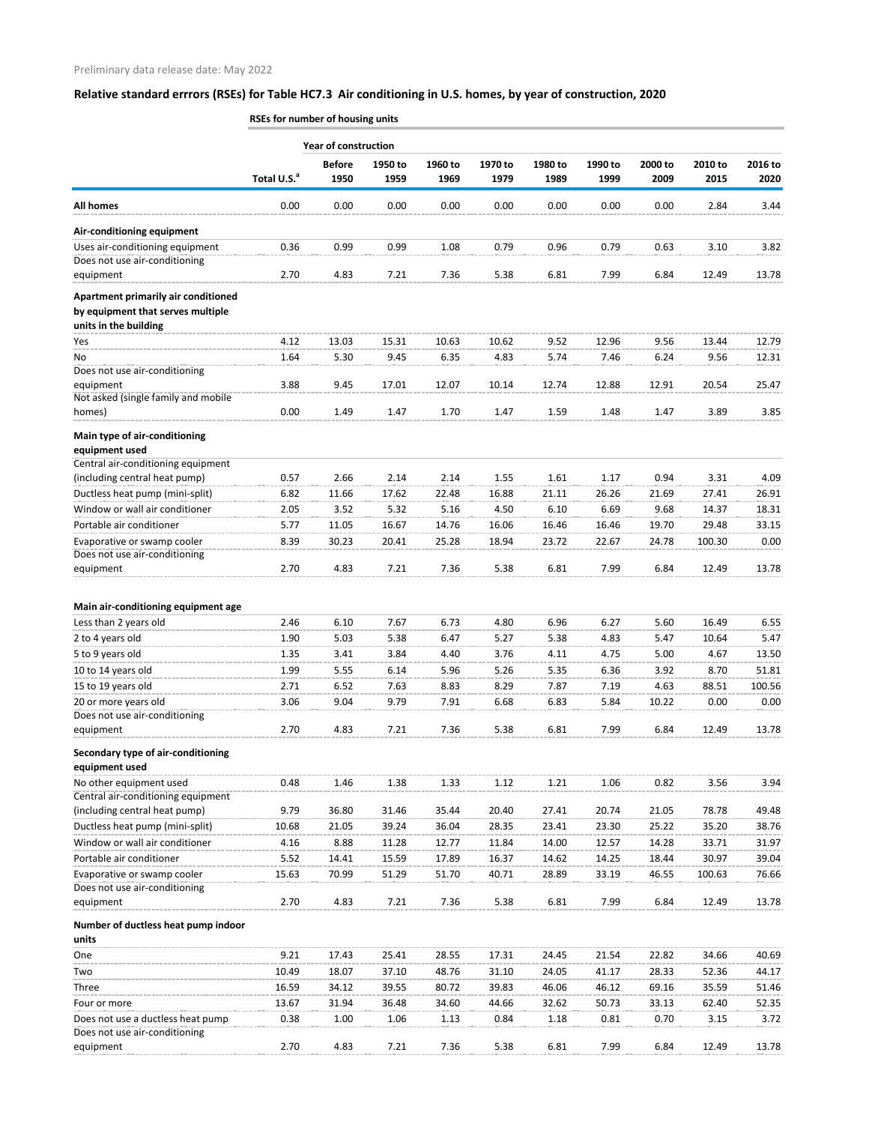|                                                                                                   | RSEs for number of housing units |                             |                 |                 |                 |                 |                 |                 |                 |                 |
|---------------------------------------------------------------------------------------------------|----------------------------------|-----------------------------|-----------------|-----------------|-----------------|-----------------|-----------------|-----------------|-----------------|-----------------|
|                                                                                                   |                                  | <b>Year of construction</b> |                 |                 |                 |                 |                 |                 |                 |                 |
|                                                                                                   | Total U.S. <sup>a</sup>          | <b>Before</b><br>1950       | 1950 to<br>1959 | 1960 to<br>1969 | 1970 to<br>1979 | 1980 to<br>1989 | 1990 to<br>1999 | 2000 to<br>2009 | 2010 to<br>2015 | 2016 to<br>2020 |
| <b>All homes</b>                                                                                  | 0.00                             | 0.00                        | 0.00            | 0.00            | 0.00            | 0.00            | 0.00            | 0.00            | 2.84            | 3.44            |
| Air-conditioning equipment                                                                        |                                  |                             |                 |                 |                 |                 |                 |                 |                 |                 |
| Uses air-conditioning equipment                                                                   | 0.36                             | 0.99                        | 0.99            | 1.08            | 0.79            | 0.96            | 0.79            | 0.63            | 3.10            | 3.82            |
| Does not use air-conditioning                                                                     |                                  |                             |                 |                 |                 |                 |                 |                 |                 |                 |
| equipment                                                                                         | 2.70                             | 4.83                        | 7.21            | 7.36            | 5.38            | 6.81            | 7.99            | 6.84            | 12.49           | 13.78           |
| Apartment primarily air conditioned<br>by equipment that serves multiple<br>units in the building |                                  |                             |                 |                 |                 |                 |                 |                 |                 |                 |
| Yes                                                                                               | 4.12                             | 13.03                       | 15.31           | 10.63           | 10.62           | 9.52            | 12.96           | 9.56            | 13.44           | 12.79           |
| No                                                                                                | 1.64                             | 5.30                        | 9.45            | 6.35            | 4.83            | 5.74            | 7.46            | 6.24            | 9.56            | 12.31           |
| Does not use air-conditioning<br>equipment                                                        | 3.88                             | 9.45                        | 17.01           | 12.07           | 10.14           | 12.74           | 12.88           | 12.91           | 20.54           | 25.47           |
| Not asked (single family and mobile<br>homes)                                                     | 0.00                             | 1.49                        | 1.47            | 1.70            | 1.47            | 1.59            | 1.48            | 1.47            | 3.89            | 3.85            |
| Main type of air-conditioning<br>equipment used<br>Central air-conditioning equipment             |                                  |                             |                 |                 |                 |                 |                 |                 |                 |                 |
| (including central heat pump)                                                                     | 0.57                             | 2.66                        | 2.14            | 2.14            | 1.55            | 1.61            | 1.17            | 0.94            | 3.31            | 4.09            |
| Ductless heat pump (mini-split)                                                                   | 6.82                             | 11.66                       | 17.62           | 22.48           | 16.88           | 21.11           | 26.26           | 21.69           | 27.41           | 26.91           |
| Window or wall air conditioner                                                                    | 2.05                             | 3.52                        | 5.32            | 5.16            | 4.50            | 6.10            | 6.69            | 9.68            | 14.37           | 18.31           |
| Portable air conditioner                                                                          | 5.77                             | 11.05                       | 16.67           | 14.76           | 16.06           | 16.46           | 16.46           | 19.70           | 29.48           | 33.15           |
| Evaporative or swamp cooler                                                                       | 8.39                             | 30.23                       | 20.41           | 25.28           | 18.94           | 23.72           | 22.67           | 24.78           | 100.30          | 0.00            |
| Does not use air-conditioning<br>equipment                                                        | 2.70                             | 4.83                        | 7.21            | 7.36            | 5.38            | 6.81            | 7.99            | 6.84            | 12.49           | 13.78           |
| Main air-conditioning equipment age                                                               |                                  |                             |                 |                 |                 |                 |                 |                 |                 |                 |
| Less than 2 years old                                                                             | 2.46                             | 6.10                        | 7.67            | 6.73            | 4.80            | 6.96            | 6.27            | 5.60            | 16.49           | 6.55            |
| 2 to 4 years old                                                                                  | 1.90                             | 5.03                        | 5.38            | 6.47            | 5.27            | 5.38            | 4.83            | 5.47            | 10.64           | 5.47            |
| 5 to 9 years old                                                                                  | 1.35                             | 3.41                        | 3.84            | 4.40            | 3.76            | 4.11            | 4.75            | 5.00            | 4.67            | 13.50           |
| 10 to 14 years old                                                                                | 1.99                             | 5.55                        | 6.14            | 5.96            | 5.26            | 5.35            | 6.36            | 3.92            | 8.70            | 51.81           |
| 15 to 19 years old                                                                                | 2.71                             | 6.52                        | 7.63            | 8.83            | 8.29            | 7.87            | 7.19            | 4.63            | 88.51           | 100.56          |
| 20 or more years old                                                                              | 3.06                             | 9.04                        | 9.79            | 7.91            | 6.68            | 6.83            | 5.84            | 10.22           | 0.00            | 0.00            |
| Does not use air-conditioning                                                                     |                                  |                             |                 |                 |                 |                 |                 |                 |                 |                 |
| equipment                                                                                         | 2.70                             | 4.83                        | 7.21            | 7.36            | 5.38            | 6.81            | 7.99            | 6.84            | 12.49           | 13.78           |
| Secondary type of air-conditioning<br>equipment used                                              |                                  |                             |                 |                 |                 |                 |                 |                 |                 |                 |
| No other equipment used                                                                           | 0.48                             | 1.46                        | 1.38            | 1.33            | 1.12            | 1.21            | 1.06            | 0.82            | 3.56            | 3.94            |
| Central air-conditioning equipment                                                                |                                  |                             |                 |                 |                 |                 |                 |                 |                 |                 |
| (including central heat pump)<br>Ductless heat pump (mini-split)                                  | 9.79<br>10.68                    | 36.80<br>21.05              | 31.46<br>39.24  | 35.44<br>36.04  | 20.40<br>28.35  | 27.41<br>23.41  | 20.74<br>23.30  | 21.05<br>25.22  | 78.78<br>35.20  | 49.48<br>38.76  |
| Window or wall air conditioner                                                                    | 4.16                             | 8.88                        | 11.28           | 12.77           | 11.84           | 14.00           | 12.57           | 14.28           | 33.71           | 31.97           |
| Portable air conditioner                                                                          | 5.52                             | 14.41                       | 15.59           | 17.89           | 16.37           | 14.62           | 14.25           | 18.44           | 30.97           | 39.04           |
| Evaporative or swamp cooler                                                                       | 15.63                            | 70.99                       | 51.29           | 51.70           | 40.71           | 28.89           | 33.19           | 46.55           | 100.63          | 76.66           |
| Does not use air-conditioning<br>equipment                                                        | 2.70                             | 4.83                        | 7.21            | 7.36            | 5.38            | 6.81            | 7.99            | 6.84            | 12.49           | 13.78           |
| Number of ductless heat pump indoor                                                               |                                  |                             |                 |                 |                 |                 |                 |                 |                 |                 |
| units<br>One                                                                                      | 9.21                             | 17.43                       | 25.41           | 28.55           | 17.31           | 24.45           | 21.54           | 22.82           | 34.66           | 40.69           |
| Two                                                                                               | 10.49                            | 18.07                       | 37.10           | 48.76           | 31.10           | 24.05           | 41.17           | 28.33           | 52.36           | 44.17           |
| Three                                                                                             | 16.59                            | 34.12                       | 39.55           | 80.72           | 39.83           | 46.06           | 46.12           | 69.16           | 35.59           | 51.46           |
| Four or more                                                                                      | 13.67                            | 31.94                       | 36.48           | 34.60           | 44.66           | 32.62           | 50.73           | 33.13           | 62.40           | 52.35           |
| Does not use a ductless heat pump<br>Does not use air-conditioning                                | 0.38                             | 1.00                        | 1.06            | 1.13            | 0.84            | 1.18            | 0.81            | 0.70            | 3.15            | 3.72            |
| equipment                                                                                         | 2.70                             | 4.83                        | 7.21            | 7.36            | 5.38            | 6.81            | 7.99            | 6.84            | 12.49           | 13.78           |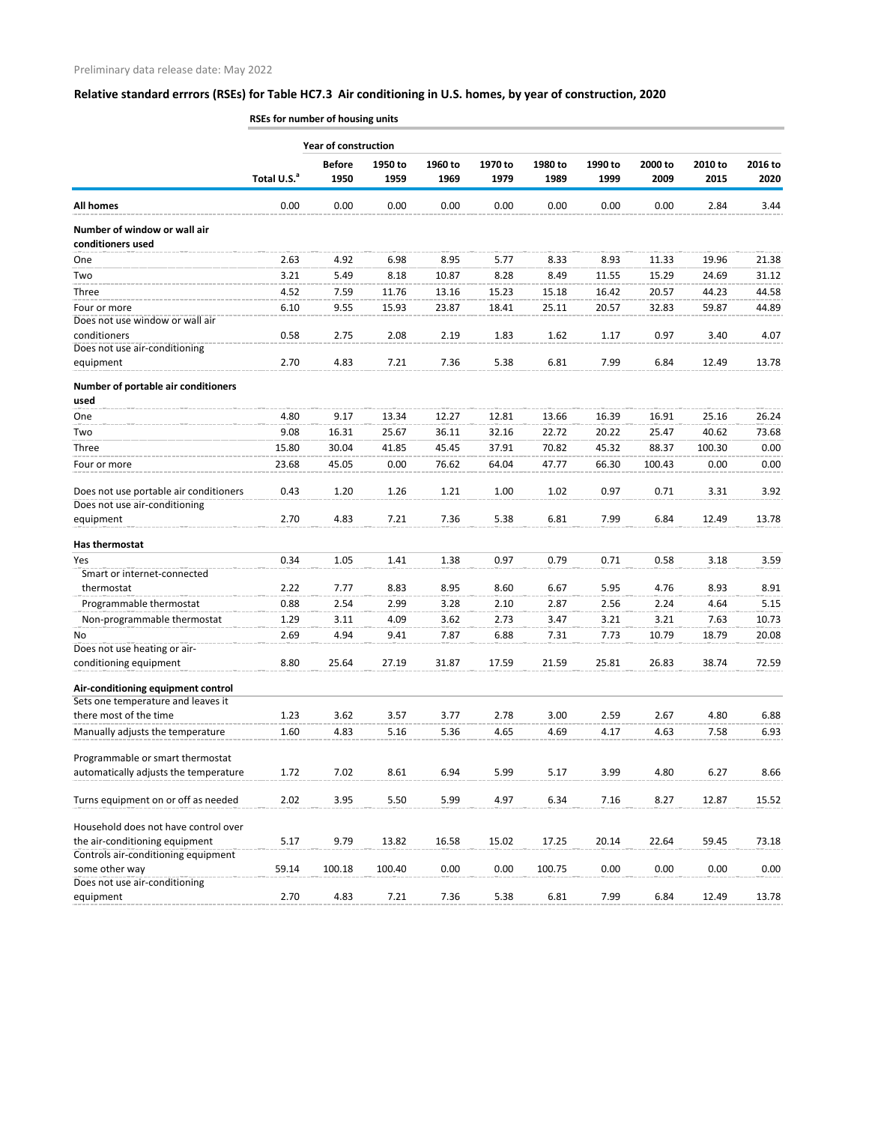|                                                                         | RSEs for number of housing units |                             |                 |                 |                 |                 |                 |                 |                 |                 |  |  |  |
|-------------------------------------------------------------------------|----------------------------------|-----------------------------|-----------------|-----------------|-----------------|-----------------|-----------------|-----------------|-----------------|-----------------|--|--|--|
|                                                                         |                                  | <b>Year of construction</b> |                 |                 |                 |                 |                 |                 |                 |                 |  |  |  |
|                                                                         | Total U.S. <sup>a</sup>          | <b>Before</b><br>1950       | 1950 to<br>1959 | 1960 to<br>1969 | 1970 to<br>1979 | 1980 to<br>1989 | 1990 to<br>1999 | 2000 to<br>2009 | 2010 to<br>2015 | 2016 to<br>2020 |  |  |  |
| <b>All homes</b>                                                        | 0.00                             | 0.00                        | 0.00            | 0.00            | 0.00            | 0.00            | 0.00            | 0.00            | 2.84            | 3.44            |  |  |  |
| Number of window or wall air<br>conditioners used                       |                                  |                             |                 |                 |                 |                 |                 |                 |                 |                 |  |  |  |
| One                                                                     | 2.63                             | 4.92                        | 6.98            | 8.95            | 5.77            | 8.33            | 8.93            | 11.33           | 19.96           | 21.38           |  |  |  |
| Two                                                                     | 3.21                             | 5.49                        | 8.18            | 10.87           | 8.28            | 8.49            | 11.55           | 15.29           | 24.69           | 31.12           |  |  |  |
| Three                                                                   | 4.52                             | 7.59                        | 11.76           | 13.16           | 15.23           | 15.18           | 16.42           | 20.57           | 44.23           | 44.58           |  |  |  |
| Four or more                                                            | 6.10                             | 9.55                        | 15.93           | 23.87           | 18.41           | 25.11           | 20.57           | 32.83           | 59.87           | 44.89           |  |  |  |
| Does not use window or wall air                                         |                                  |                             |                 |                 |                 |                 |                 |                 |                 |                 |  |  |  |
| conditioners                                                            | 0.58                             | 2.75                        | 2.08            | 2.19            | 1.83            | 1.62            | 1.17            | 0.97            | 3.40            | 4.07            |  |  |  |
| Does not use air-conditioning                                           |                                  |                             |                 |                 |                 |                 |                 |                 |                 |                 |  |  |  |
| equipment                                                               | 2.70                             | 4.83                        | 7.21            | 7.36            | 5.38            | 6.81            | 7.99            | 6.84            | 12.49           | 13.78           |  |  |  |
| Number of portable air conditioners<br>used                             |                                  |                             |                 |                 |                 |                 |                 |                 |                 |                 |  |  |  |
| One                                                                     | 4.80                             | 9.17                        | 13.34           | 12.27           | 12.81           | 13.66           | 16.39           | 16.91           | 25.16           | 26.24           |  |  |  |
| Two                                                                     | 9.08                             | 16.31                       | 25.67           | 36.11           | 32.16           | 22.72           | 20.22           | 25.47           | 40.62           | 73.68           |  |  |  |
| Three                                                                   | 15.80                            | 30.04                       | 41.85           | 45.45           | 37.91           | 70.82           | 45.32           | 88.37           | 100.30          | 0.00            |  |  |  |
| Four or more                                                            | 23.68                            | 45.05                       | 0.00            | 76.62           | 64.04           | 47.77           | 66.30           | 100.43          | 0.00            | 0.00            |  |  |  |
| Does not use portable air conditioners<br>Does not use air-conditioning | 0.43                             | 1.20                        | 1.26            | 1.21            | 1.00            | 1.02            | 0.97            | 0.71            | 3.31            | 3.92            |  |  |  |
| equipment                                                               | 2.70                             | 4.83                        | 7.21            | 7.36            | 5.38            | 6.81            | 7.99            | 6.84            | 12.49           | 13.78           |  |  |  |
| Has thermostat                                                          |                                  |                             |                 |                 |                 |                 |                 |                 |                 |                 |  |  |  |
| Yes                                                                     | 0.34                             | 1.05                        | 1.41            | 1.38            | 0.97            | 0.79            | 0.71            | 0.58            | 3.18            | 3.59            |  |  |  |
| Smart or internet-connected                                             |                                  |                             |                 |                 |                 |                 |                 |                 |                 |                 |  |  |  |
| thermostat                                                              | 2.22                             | 7.77                        | 8.83            | 8.95            | 8.60            | 6.67            | 5.95            | 4.76            | 8.93            | 8.91            |  |  |  |
| Programmable thermostat                                                 | 0.88                             | 2.54                        | 2.99            | 3.28            | 2.10            | 2.87            | 2.56            | 2.24            | 4.64            | 5.15            |  |  |  |
| Non-programmable thermostat                                             | 1.29                             | 3.11                        | 4.09            | 3.62            | 2.73            | 3.47            | 3.21            | 3.21            | 7.63            | 10.73           |  |  |  |
| No                                                                      | 2.69                             | 4.94                        | 9.41            | 7.87            | 6.88            | 7.31            | 7.73            | 10.79           | 18.79           | 20.08           |  |  |  |
| Does not use heating or air-                                            |                                  |                             |                 |                 |                 |                 |                 |                 |                 |                 |  |  |  |
| conditioning equipment                                                  | 8.80                             | 25.64                       | 27.19           | 31.87           | 17.59           | 21.59           | 25.81           | 26.83           | 38.74           | 72.59           |  |  |  |
| Air-conditioning equipment control                                      |                                  |                             |                 |                 |                 |                 |                 |                 |                 |                 |  |  |  |
| Sets one temperature and leaves it                                      |                                  |                             |                 |                 |                 |                 |                 |                 |                 |                 |  |  |  |
| there most of the time                                                  | 1.23                             | 3.62                        | 3.57            | 3.77            | 2.78            | 3.00            | 2.59            | 2.67            | 4.80            | 6.88            |  |  |  |
| Manually adjusts the temperature                                        | 1.60                             | 4.83                        | 5.16            | 5.36            | 4.65            | 4.69            | 4.17            | 4.63            | 7.58            | 6.93            |  |  |  |
| Programmable or smart thermostat                                        |                                  |                             |                 |                 |                 |                 |                 |                 |                 |                 |  |  |  |
| automatically adjusts the temperature                                   | 1.72                             | 7.02                        | 8.61            | 6.94            | 5.99            | 5.17            | 3.99            | 4.80            | 6.27            | 8.66            |  |  |  |
|                                                                         |                                  |                             |                 |                 |                 |                 |                 |                 |                 |                 |  |  |  |
| Turns equipment on or off as needed                                     | 2.02                             | 3.95                        | 5.50            | 5.99            | 4.97            | 6.34            | 7.16            | 8.27            | 12.87           | 15.52           |  |  |  |
| Household does not have control over                                    |                                  |                             |                 |                 |                 |                 |                 |                 |                 |                 |  |  |  |
| the air-conditioning equipment                                          | 5.17                             | 9.79                        | 13.82           | 16.58           | 15.02           | 17.25           | 20.14           | 22.64           | 59.45           | 73.18           |  |  |  |
| Controls air-conditioning equipment                                     |                                  |                             |                 |                 |                 |                 |                 |                 |                 |                 |  |  |  |
| some other way<br>Does not use air-conditioning                         | 59.14                            | 100.18                      | 100.40          | 0.00            | 0.00            | 100.75          | 0.00            | 0.00            | 0.00            | $0.00\,$        |  |  |  |
| equipment                                                               | 2.70                             | 4.83                        | 7.21            | 7.36            | 5.38            | 6.81            | 7.99            | 6.84            | 12.49           | 13.78           |  |  |  |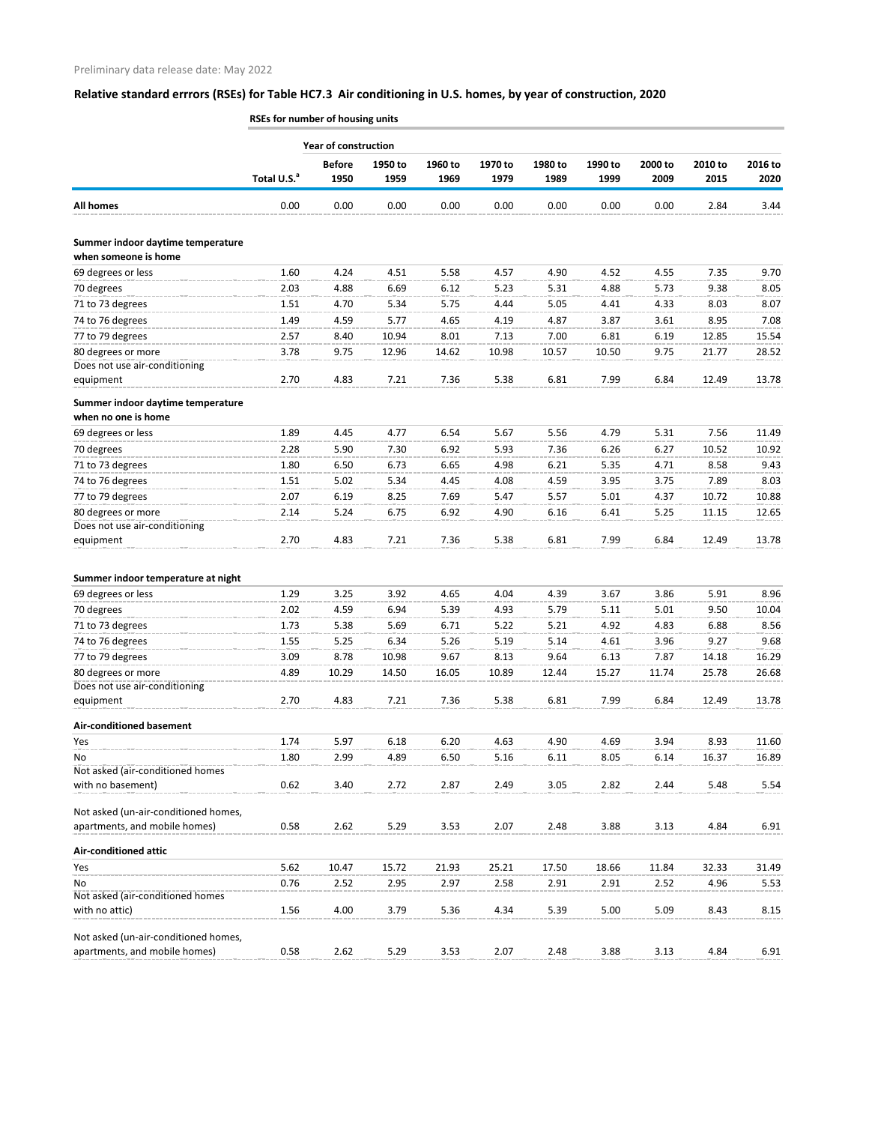|                                                           | RSEs for number of housing units |                             |                 |                 |                 |                 |                 |                 |                 |                 |
|-----------------------------------------------------------|----------------------------------|-----------------------------|-----------------|-----------------|-----------------|-----------------|-----------------|-----------------|-----------------|-----------------|
|                                                           |                                  | <b>Year of construction</b> |                 |                 |                 |                 |                 |                 |                 |                 |
|                                                           | Total U.S. <sup>a</sup>          | <b>Before</b><br>1950       | 1950 to<br>1959 | 1960 to<br>1969 | 1970 to<br>1979 | 1980 to<br>1989 | 1990 to<br>1999 | 2000 to<br>2009 | 2010 to<br>2015 | 2016 to<br>2020 |
| <b>All homes</b>                                          | 0.00                             | 0.00                        | 0.00            | 0.00            | 0.00            | 0.00            | 0.00            | 0.00            | 2.84            | 3.44            |
|                                                           |                                  |                             |                 |                 |                 |                 |                 |                 |                 |                 |
| Summer indoor daytime temperature<br>when someone is home |                                  |                             |                 |                 |                 |                 |                 |                 |                 |                 |
| 69 degrees or less                                        | 1.60                             | 4.24                        | 4.51            | 5.58            | 4.57            | 4.90            | 4.52            | 4.55            | 7.35            | 9.70            |
| 70 degrees                                                | 2.03                             | 4.88                        | 6.69            | 6.12            | 5.23            | 5.31            | 4.88            | 5.73            | 9.38            | 8.05            |
| 71 to 73 degrees                                          | 1.51                             | 4.70                        | 5.34            | 5.75            | 4.44            | 5.05            | 4.41            | 4.33            | 8.03            | 8.07            |
| 74 to 76 degrees                                          | 1.49                             | 4.59                        | 5.77            | 4.65            | 4.19            | 4.87            | 3.87            | 3.61            | 8.95            | 7.08            |
| 77 to 79 degrees                                          | 2.57                             | 8.40                        | 10.94           | 8.01            | 7.13            | 7.00            | 6.81            | 6.19            | 12.85           | 15.54           |
| 80 degrees or more<br>Does not use air-conditioning       | 3.78                             | 9.75                        | 12.96           | 14.62           | 10.98           | 10.57           | 10.50           | 9.75            | 21.77           | 28.52           |
| equipment                                                 | 2.70                             | 4.83                        | 7.21            | 7.36            | 5.38            | 6.81            | 7.99            | 6.84            | 12.49           | 13.78           |
| Summer indoor daytime temperature<br>when no one is home  |                                  |                             |                 |                 |                 |                 |                 |                 |                 |                 |
| 69 degrees or less                                        | 1.89                             | 4.45                        | 4.77            | 6.54            | 5.67            | 5.56            | 4.79            | 5.31            | 7.56            | 11.49           |
| 70 degrees                                                | 2.28                             | 5.90                        | 7.30            | 6.92            | 5.93            | 7.36            | 6.26            | 6.27            | 10.52           | 10.92           |
| 71 to 73 degrees                                          | 1.80                             | 6.50                        | 6.73            | 6.65            | 4.98            | 6.21            | 5.35            | 4.71            | 8.58            | 9.43            |
| 74 to 76 degrees                                          | 1.51                             | 5.02                        | 5.34            | 4.45            | 4.08            | 4.59            | 3.95            | 3.75            | 7.89            | 8.03            |
| 77 to 79 degrees                                          | 2.07                             | 6.19                        | 8.25            | 7.69            | 5.47            | 5.57            | 5.01            | 4.37            | 10.72           | 10.88           |
| 80 degrees or more                                        | 2.14                             | 5.24                        | 6.75            | 6.92            | 4.90            | 6.16            | 6.41            | 5.25            | 11.15           | 12.65           |
| Does not use air-conditioning                             |                                  |                             |                 |                 |                 |                 |                 |                 |                 |                 |
| equipment                                                 | 2.70                             | 4.83                        | 7.21            | 7.36            | 5.38            | 6.81            | 7.99            | 6.84            | 12.49           | 13.78           |
| Summer indoor temperature at night                        |                                  |                             |                 |                 |                 |                 |                 |                 |                 |                 |
| 69 degrees or less                                        | 1.29                             | 3.25                        | 3.92            | 4.65            | 4.04            | 4.39            | 3.67            | 3.86            | 5.91            | 8.96            |
| 70 degrees                                                | 2.02                             | 4.59                        | 6.94            | 5.39            | 4.93            | 5.79            | 5.11            | 5.01            | 9.50            | 10.04           |
| 71 to 73 degrees                                          | 1.73                             | 5.38                        | 5.69            | 6.71            | 5.22            | 5.21            | 4.92            | 4.83            | 6.88            | 8.56            |
| 74 to 76 degrees                                          | 1.55                             | 5.25                        | 6.34            | 5.26            | 5.19            | 5.14            | 4.61            | 3.96            | 9.27            | 9.68            |
| 77 to 79 degrees                                          | 3.09                             | 8.78                        | 10.98           | 9.67            | 8.13            | 9.64            | 6.13            | 7.87            | 14.18           | 16.29           |
| 80 degrees or more                                        | 4.89                             | 10.29                       | 14.50           | 16.05           | 10.89           | 12.44           | 15.27           | 11.74           | 25.78           | 26.68           |
| Does not use air-conditioning                             |                                  |                             |                 |                 |                 |                 |                 |                 |                 |                 |
| equipment                                                 | 2.70                             | 4.83                        | 7.21            | 7.36            | 5.38            | 6.81            | 7.99            | 6.84            | 12.49           | 13.78           |
| <b>Air-conditioned basement</b>                           |                                  |                             |                 |                 |                 |                 |                 |                 |                 |                 |
| Yes                                                       | 1.74                             | 5.97                        | 6.18            | 6.20            | 4.63            | 4.90            | 4.69            | 3.94            | 8.93            | 11.60           |
| No                                                        | 1.80                             | 2.99                        | 4.89            | 6.50            | 5.16            | 6.11            | 8.05            | 6.14            | 16.37           | 16.89           |
| Not asked (air-conditioned homes                          |                                  |                             |                 |                 |                 |                 |                 |                 |                 |                 |
| with no basement)                                         | 0.62                             | 3.40                        | 2.72            | 2.87            | 2.49            | 3.05            | 2.82            | 2.44            | 5.48            | 5.54            |
| Not asked (un-air-conditioned homes,                      |                                  |                             |                 |                 |                 |                 |                 |                 |                 |                 |
| apartments, and mobile homes)                             | 0.58                             | 2.62                        | 5.29            | 3.53            | 2.07            | 2.48            | 3.88            | 3.13            | 4.84            | 6.91            |
| <b>Air-conditioned attic</b>                              |                                  |                             |                 |                 |                 |                 |                 |                 |                 |                 |
| Yes                                                       | 5.62                             | 10.47                       | 15.72           | 21.93           | 25.21           | 17.50           | 18.66           | 11.84           | 32.33           | 31.49           |
| No                                                        | 0.76                             | 2.52                        | 2.95            | 2.97            | 2.58            | 2.91            | 2.91            | 2.52            | 4.96            | 5.53            |
| Not asked (air-conditioned homes                          |                                  |                             |                 |                 |                 |                 |                 |                 |                 |                 |
| with no attic)                                            | 1.56                             | 4.00                        | 3.79            | 5.36            | 4.34            | 5.39            | 5.00            | 5.09            | 8.43            | 8.15            |
|                                                           |                                  |                             |                 |                 |                 |                 |                 |                 |                 |                 |
| Not asked (un-air-conditioned homes,                      |                                  |                             |                 |                 |                 |                 |                 |                 |                 |                 |
| apartments, and mobile homes)                             | 0.58                             | 2.62                        | 5.29            | 3.53            | 2.07            | 2.48            | 3.88            | 3.13            | 4.84            | 6.91            |